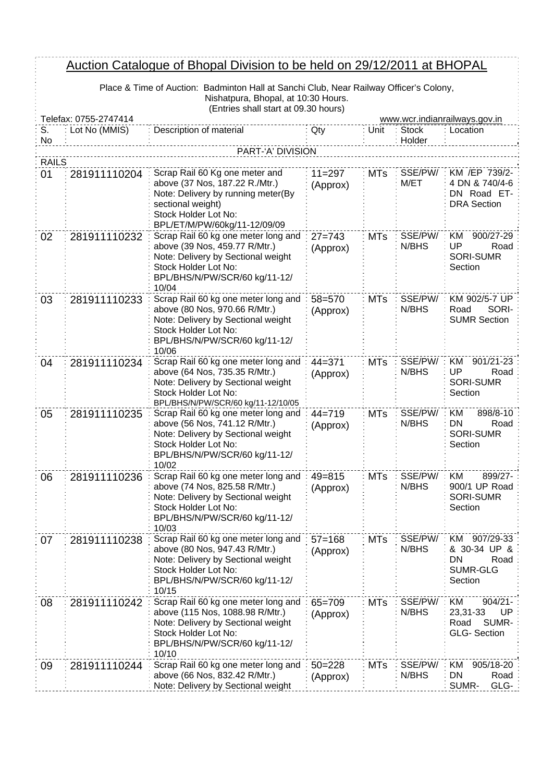## Auction Catalogue of Bhopal Division to be held on 29/12/2011 at BHOPAL

Place & Time of Auction: Badminton Hall at Sanchi Club, Near Railway Officer's Colony, Nishatpura, Bhopal, at 10:30 Hours. (Entries shall start at 09.30 hours)

 $\frac{1}{2}$ 

| Telefax: 0755-2747414<br>www.wcr.indianrailways.gov.in |               |                                                                                                                                                                                     |                        |            |                        |                                                                           |
|--------------------------------------------------------|---------------|-------------------------------------------------------------------------------------------------------------------------------------------------------------------------------------|------------------------|------------|------------------------|---------------------------------------------------------------------------|
| S.<br>No                                               | Lot No (MMIS) | Description of material                                                                                                                                                             | Qty                    | Unit       | <b>Stock</b><br>Holder | Location                                                                  |
|                                                        |               | PART-'A' DIVISION                                                                                                                                                                   |                        |            |                        |                                                                           |
| <b>RAILS</b>                                           |               |                                                                                                                                                                                     |                        |            |                        |                                                                           |
| 01                                                     | 281911110204  | Scrap Rail 60 Kg one meter and<br>above (37 Nos, 187.22 R./Mtr.)<br>Note: Delivery by running meter(By<br>sectional weight)<br>Stock Holder Lot No:<br>BPL/ET/M/PW/60kg/11-12/09/09 | $11 = 297$<br>(Approx) | <b>MTs</b> | SSE/PW/<br>M/ET        | KM /EP 739/2-<br>4 DN & 740/4-6<br>DN Road ET-<br><b>DRA</b> Section      |
| 02                                                     | 281911110232  | Scrap Rail 60 kg one meter long and<br>above (39 Nos, 459.77 R/Mtr.)<br>Note: Delivery by Sectional weight<br>Stock Holder Lot No:<br>BPL/BHS/N/PW/SCR/60 kg/11-12/<br>10/04        | $27 = 743$<br>(Approx) | <b>MTs</b> | SSE/PW/<br>N/BHS       | 900/27-29<br>KM<br>UP<br>Road<br><b>SORI-SUMR</b><br>Section              |
| 03                                                     | 281911110233  | Scrap Rail 60 kg one meter long and<br>above (80 Nos, 970.66 R/Mtr.)<br>Note: Delivery by Sectional weight<br>Stock Holder Lot No:<br>BPL/BHS/N/PW/SCR/60 kg/11-12/<br>10/06        | 58=570<br>(Approx)     | <b>MTs</b> | SSE/PW/<br>N/BHS       | KM 902/5-7 UP<br>SORI-<br>Road<br><b>SUMR Section</b>                     |
| 04                                                     | 281911110234  | Scrap Rail 60 kg one meter long and<br>above (64 Nos, 735.35 R/Mtr.)<br>Note: Delivery by Sectional weight<br>Stock Holder Lot No:<br>BPL/BHS/N/PW/SCR/60 kg/11-12/10/05            | $44 = 371$<br>(Approx) | <b>MTs</b> | SSE/PW/<br>N/BHS       | 901/21-23<br>ΚM<br>UP<br>Road<br><b>SORI-SUMR</b><br>Section              |
| 05                                                     | 281911110235  | Scrap Rail 60 kg one meter long and<br>above (56 Nos, 741.12 R/Mtr.)<br>Note: Delivery by Sectional weight<br>Stock Holder Lot No:<br>BPL/BHS/N/PW/SCR/60 kg/11-12/<br>10/02        | $44 = 719$<br>(Approx) | <b>MTs</b> | SSE/PW/<br>N/BHS       | 898/8-10<br>ΚM<br>DN<br>Road<br><b>SORI-SUMR</b><br>Section               |
| 06                                                     | 281911110236  | Scrap Rail 60 kg one meter long and<br>above (74 Nos, 825.58 R/Mtr.)<br>Note: Delivery by Sectional weight<br>Stock Holder Lot No:<br>BPL/BHS/N/PW/SCR/60 kg/11-12/<br>10/03        | $49 = 815$<br>(Approx) | <b>MTs</b> | SSE/PW/<br>N/BHS       | KM<br>899/27-<br>900/1 UP Road<br><b>SORI-SUMR</b><br>Section             |
| 07                                                     | 281911110238  | Scrap Rail 60 kg one meter long and<br>above (80 Nos, 947.43 R/Mtr.)<br>Note: Delivery by Sectional weight<br>Stock Holder Lot No:<br>BPL/BHS/N/PW/SCR/60 kg/11-12/<br>10/15        | $57 = 168$<br>(Approx) | <b>MTs</b> | SSE/PW/<br>N/BHS       | KM 907/29-33<br>& 30-34 UP &<br>DN<br>Road<br><b>SUMR-GLG</b><br>Section  |
| 08                                                     | 281911110242  | Scrap Rail 60 kg one meter long and<br>above (115 Nos, 1088.98 R/Mtr.)<br>Note: Delivery by Sectional weight<br>Stock Holder Lot No:<br>BPL/BHS/N/PW/SCR/60 kg/11-12/<br>10/10      | 65=709<br>(Approx)     | <b>MTs</b> | SSE/PW/<br>N/BHS       | $904/21 -$<br>KM<br>23,31-33<br>UP<br>SUMR-<br>Road<br><b>GLG-Section</b> |
| 09                                                     | 281911110244  | Scrap Rail 60 kg one meter long and<br>above (66 Nos, 832.42 R/Mtr.)<br>Note: Delivery by Sectional weight                                                                          | $50 = 228$<br>(Approx) | <b>MTs</b> | SSE/PW/<br>N/BHS       | 905/18-20<br>KM<br><b>DN</b><br>Road<br>SUMR-<br>GLG-                     |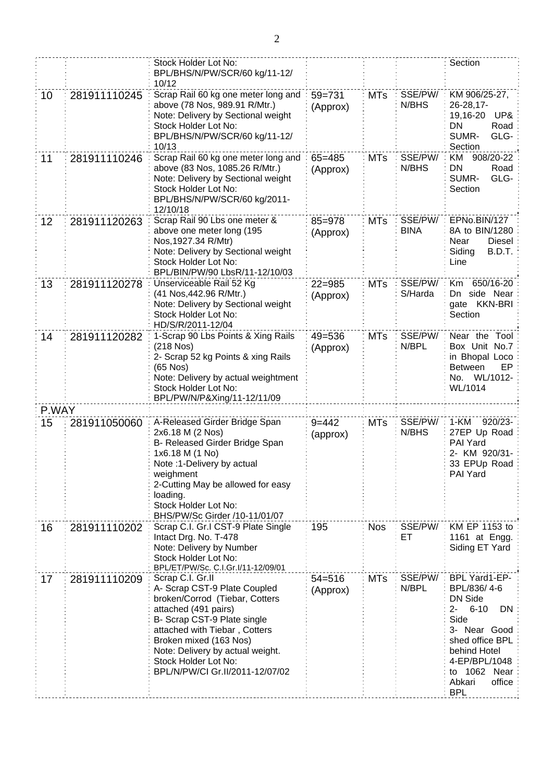|       |              | Stock Holder Lot No:<br>BPL/BHS/N/PW/SCR/60 kg/11-12/<br>10/12                                                                                                                                                                                                                                      |                        |            |                        | Section                                                                                                                                                                                          |
|-------|--------------|-----------------------------------------------------------------------------------------------------------------------------------------------------------------------------------------------------------------------------------------------------------------------------------------------------|------------------------|------------|------------------------|--------------------------------------------------------------------------------------------------------------------------------------------------------------------------------------------------|
| 10    | 281911110245 | Scrap Rail 60 kg one meter long and<br>above (78 Nos, 989.91 R/Mtr.)<br>Note: Delivery by Sectional weight<br>Stock Holder Lot No:<br>BPL/BHS/N/PW/SCR/60 kg/11-12/<br>10/13                                                                                                                        | $59 = 731$<br>(Approx) | <b>MTs</b> | SSE/PW/<br>N/BHS       | KM 906/25-27,<br>26-28,17-<br>19,16-20<br>UP&<br>DN<br>Road<br>SUMR-<br>GLG-<br>Section                                                                                                          |
| 11    | 281911110246 | Scrap Rail 60 kg one meter long and<br>above (83 Nos, 1085.26 R/Mtr.)<br>Note: Delivery by Sectional weight<br>Stock Holder Lot No:<br>BPL/BHS/N/PW/SCR/60 kg/2011-<br>12/10/18                                                                                                                     | $65 = 485$<br>(Approx) | <b>MTs</b> | SSE/PW/<br>N/BHS       | 908/20-22<br>KM<br><b>DN</b><br>Road<br>SUMR-<br>GLG-<br>Section                                                                                                                                 |
| 12    | 281911120263 | Scrap Rail 90 Lbs one meter &<br>above one meter long (195<br>Nos, 1927.34 R/Mtr)<br>Note: Delivery by Sectional weight<br>Stock Holder Lot No:<br>BPL/BIN/PW/90 LbsR/11-12/10/03                                                                                                                   | $85 = 978$<br>(Approx) | <b>MTs</b> | SSE/PW/<br><b>BINA</b> | EPNo.BIN/127<br>8A to BIN/1280<br>Near<br>Diesel<br>Siding<br>B.D.T.<br>Line                                                                                                                     |
| 13    | 281911120278 | Unserviceable Rail 52 Kg<br>(41 Nos, 442.96 R/Mtr.)<br>Note: Delivery by Sectional weight<br>Stock Holder Lot No:<br>HD/S/R/2011-12/04                                                                                                                                                              | $22 = 985$<br>(Approx) | <b>MTs</b> | SSE/PW/<br>S/Harda     | 650/16-20<br>Km<br>Dn side Near<br>gate KKN-BRI<br>Section                                                                                                                                       |
| 14    | 281911120282 | 1-Scrap 90 Lbs Points & Xing Rails<br>(218 Nos)<br>2- Scrap 52 kg Points & xing Rails<br>(65 Nos)<br>Note: Delivery by actual weightment<br>Stock Holder Lot No:<br>BPL/PW/N/P&Xing/11-12/11/09                                                                                                     | $49 = 536$<br>(Approx) | <b>MTs</b> | SSE/PW/<br>N/BPL       | Near the Tool:<br>Box Unit No.7<br>in Bhopal Loco<br><b>Between</b><br>EP.<br>No. WL/1012-<br>WL/1014                                                                                            |
| P.WAY |              | A-Released Girder Bridge Span                                                                                                                                                                                                                                                                       | $9 = 442$              | <b>MTs</b> | SSE/PW/                | $920/23 -$<br>1-KM                                                                                                                                                                               |
| 15    | 281911050060 | 2x6.18 M (2 Nos)<br>B- Released Girder Bridge Span<br>1x6.18 M (1 No)<br>Note :1-Delivery by actual<br>weighment<br>2-Cutting May be allowed for easy<br>loading.<br>Stock Holder Lot No:<br>BHS/PW/Sc Girder /10-11/01/07                                                                          | (approx)               |            | N/BHS                  | 27EP Up Road<br>PAI Yard<br>2- KM 920/31-<br>33 EPUp Road<br>PAI Yard                                                                                                                            |
| 16    | 281911110202 | Scrap C.I. Gr.I CST-9 Plate Single<br>Intact Drg. No. T-478<br>Note: Delivery by Number<br>Stock Holder Lot No:<br>BPL/ET/PW/Sc. C.I.Gr.I/11-12/09/01                                                                                                                                               | 195                    | <b>Nos</b> | SSE/PW/<br>ET          | KM EP 1153 to<br>1161 at Engg.<br>Siding ET Yard                                                                                                                                                 |
| 17    | 281911110209 | Scrap C.I. Gr.II<br>A- Scrap CST-9 Plate Coupled<br>broken/Corrod (Tiebar, Cotters<br>attached (491 pairs)<br>B- Scrap CST-9 Plate single<br>attached with Tiebar, Cotters<br>Broken mixed (163 Nos)<br>Note: Delivery by actual weight.<br>Stock Holder Lot No:<br>BPL/N/PW/CI Gr.II/2011-12/07/02 | $54 = 516$<br>(Approx) | <b>MTs</b> | SSE/PW/<br>N/BPL       | BPL Yard1-EP-<br>BPL/836/4-6<br>DN Side<br>$2 -$<br>$6 - 10$<br>DN<br>Side<br>3- Near Good<br>shed office BPL<br>behind Hotel<br>4-EP/BPL/1048<br>to 1062 Near<br>office<br>Abkari<br><b>BPL</b> |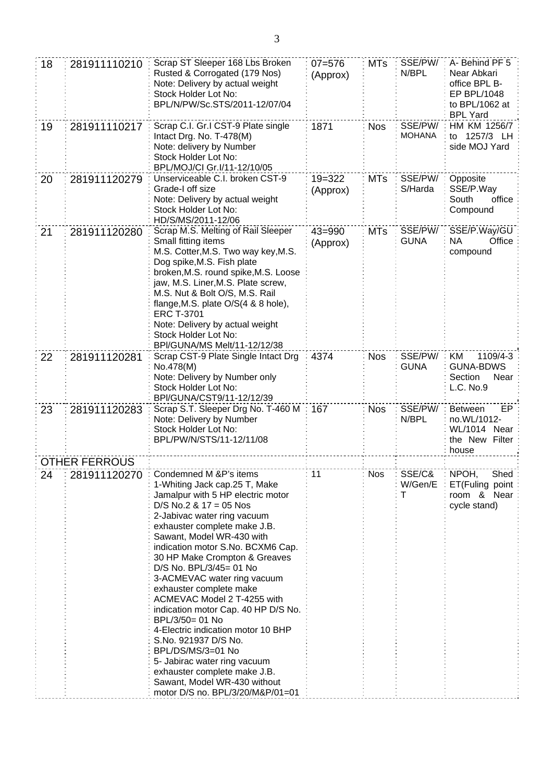| 18 | 281911110210         | Scrap ST Sleeper 168 Lbs Broken<br>Rusted & Corrogated (179 Nos)<br>Note: Delivery by actual weight<br>Stock Holder Lot No:<br>BPL/N/PW/Sc.STS/2011-12/07/04                                                                                                                                                                                                                                                                                                                                                                                                                                                                                                                                    | $07 = 576$<br>(Approx) | <b>MTs</b> | SSE/PW/<br>N/BPL         | A- Behind PF 5<br>Near Abkari<br>office BPL B-<br>EP BPL/1048<br>to BPL/1062 at<br><b>BPL Yard</b> |
|----|----------------------|-------------------------------------------------------------------------------------------------------------------------------------------------------------------------------------------------------------------------------------------------------------------------------------------------------------------------------------------------------------------------------------------------------------------------------------------------------------------------------------------------------------------------------------------------------------------------------------------------------------------------------------------------------------------------------------------------|------------------------|------------|--------------------------|----------------------------------------------------------------------------------------------------|
| 19 | 281911110217         | Scrap C.I. Gr.I CST-9 Plate single<br>Intact Drg. No. T-478(M)<br>Note: delivery by Number<br>Stock Holder Lot No:<br>BPL/MOJ/CI Gr.I/11-12/10/05                                                                                                                                                                                                                                                                                                                                                                                                                                                                                                                                               | 1871                   | <b>Nos</b> | SSE/PW/<br><b>MOHANA</b> | HM KM 1256/7<br>1257/3 LH<br>to<br>side MOJ Yard                                                   |
| 20 | 281911120279         | Unserviceable C.I. broken CST-9<br>Grade-I off size<br>Note: Delivery by actual weight<br>Stock Holder Lot No:<br>HD/S/MS/2011-12/06                                                                                                                                                                                                                                                                                                                                                                                                                                                                                                                                                            | $19 = 322$<br>(Approx) | <b>MTs</b> | SSE/PW/<br>S/Harda       | Opposite<br>SSE/P.Way<br>South<br>office<br>Compound                                               |
| 21 | 281911120280         | Scrap M.S. Melting of Rail Sleeper<br>Small fitting items<br>M.S. Cotter, M.S. Two way key, M.S.<br>Dog spike, M.S. Fish plate<br>broken, M.S. round spike, M.S. Loose<br>jaw, M.S. Liner, M.S. Plate screw,<br>M.S. Nut & Bolt O/S, M.S. Rail<br>flange, M.S. plate O/S(4 & 8 hole),<br><b>ERC T-3701</b><br>Note: Delivery by actual weight<br>Stock Holder Lot No:<br>BPI/GUNA/MS Melt/11-12/12/38                                                                                                                                                                                                                                                                                           | $43 = 990$<br>(Approx) | MTs        | SSE/PW/<br><b>GUNA</b>   | SSE/P.Way/GU<br>Office<br>NА<br>compound                                                           |
| 22 | 281911120281         | Scrap CST-9 Plate Single Intact Drg<br>No.478(M)<br>Note: Delivery by Number only<br>Stock Holder Lot No:<br>BPI/GUNA/CST9/11-12/12/39                                                                                                                                                                                                                                                                                                                                                                                                                                                                                                                                                          | 4374                   | <b>Nos</b> | SSE/PW/<br><b>GUNA</b>   | KM<br>1109/4-3<br><b>GUNA-BDWS</b><br>Section<br>Near<br>L.C. No.9                                 |
| 23 | 281911120283         | Scrap S.T. Sleeper Drg No. T-460 M<br>Note: Delivery by Number<br>Stock Holder Lot No:<br>BPL/PW/N/STS/11-12/11/08                                                                                                                                                                                                                                                                                                                                                                                                                                                                                                                                                                              | 167                    | <b>Nos</b> | SSE/PW/<br>N/BPL         | <b>Between</b><br>EP.<br>no.WL/1012-<br>WL/1014 Near<br>the New Filter<br>house                    |
|    | <b>OTHER FERROUS</b> |                                                                                                                                                                                                                                                                                                                                                                                                                                                                                                                                                                                                                                                                                                 |                        |            |                          |                                                                                                    |
| 24 | 281911120270         | Condemned M &P's items<br>1-Whiting Jack cap.25 T, Make<br>Jamalpur with 5 HP electric motor<br>$D/S$ No.2 & 17 = 05 Nos<br>2-Jabivac water ring vacuum<br>exhauster complete make J.B.<br>Sawant, Model WR-430 with<br>indication motor S.No. BCXM6 Cap.<br>30 HP Make Crompton & Greaves<br>D/S No. BPL/3/45= 01 No<br>3-ACMEVAC water ring vacuum<br>exhauster complete make<br>ACMEVAC Model 2 T-4255 with<br>indication motor Cap. 40 HP D/S No.<br>BPL/3/50= 01 No<br>4-Electric indication motor 10 BHP<br>S.No. 921937 D/S No.<br>BPL/DS/MS/3=01 No<br>5- Jabirac water ring vacuum<br>exhauster complete make J.B.<br>Sawant, Model WR-430 without<br>motor D/S no. BPL/3/20/M&P/01=01 | 11                     | <b>Nos</b> | SSE/C&<br>W/Gen/E<br>Τ   | NPOH,<br>Shed<br>ET(Fuling point<br>room & Near<br>cycle stand)                                    |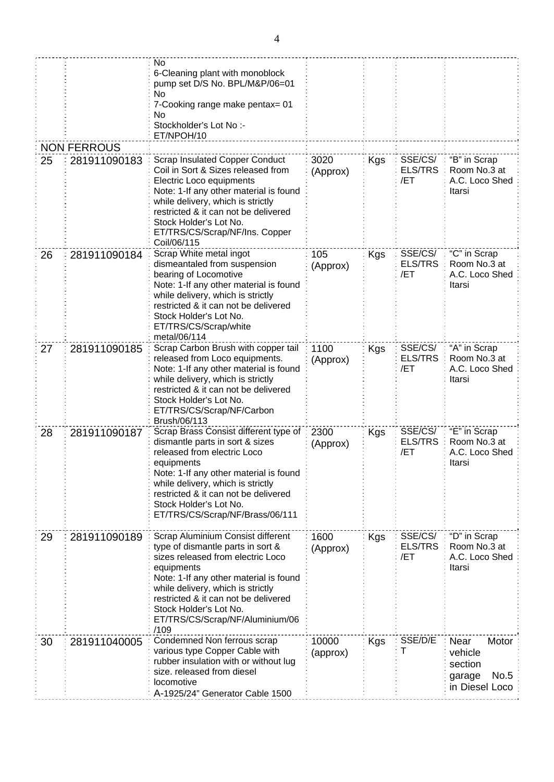|    | <b>NON FERROUS</b> | No<br>6-Cleaning plant with monoblock<br>pump set D/S No. BPL/M&P/06=01<br>No<br>7-Cooking range make pentax= 01<br>No<br>Stockholder's Lot No :-<br>ET/NPOH/10                                                                                                                                                       |                   |     |                                  |                                                                         |
|----|--------------------|-----------------------------------------------------------------------------------------------------------------------------------------------------------------------------------------------------------------------------------------------------------------------------------------------------------------------|-------------------|-----|----------------------------------|-------------------------------------------------------------------------|
| 25 | 281911090183       | <b>Scrap Insulated Copper Conduct</b><br>Coil in Sort & Sizes released from<br>Electric Loco equipments<br>Note: 1-If any other material is found<br>while delivery, which is strictly<br>restricted & it can not be delivered<br>Stock Holder's Lot No.<br>ET/TRS/CS/Scrap/NF/Ins. Copper<br>Coil/06/115             | 3020<br>(Approx)  | Kgs | SSE/CS/<br><b>ELS/TRS</b><br>/ET | "B" in Scrap<br>Room No.3 at<br>A.C. Loco Shed<br>Itarsi                |
| 26 | 281911090184       | Scrap White metal ingot<br>dismeantaled from suspension<br>bearing of Locomotive<br>Note: 1-If any other material is found<br>while delivery, which is strictly<br>restricted & it can not be delivered<br>Stock Holder's Lot No.<br>ET/TRS/CS/Scrap/white<br>metal/06/114                                            | 105<br>(Approx)   | Kgs | SSE/CS/<br><b>ELS/TRS</b><br>/ET | "C" in Scrap<br>Room No.3 at<br>A.C. Loco Shed<br>Itarsi                |
| 27 | 281911090185       | Scrap Carbon Brush with copper tail<br>released from Loco equipments.<br>Note: 1-If any other material is found<br>while delivery, which is strictly<br>restricted & it can not be delivered<br>Stock Holder's Lot No.<br>ET/TRS/CS/Scrap/NF/Carbon<br>Brush/06/113                                                   | 1100<br>(Approx)  | Kgs | SSE/CS/<br><b>ELS/TRS</b><br>/ET | "A" in Scrap<br>Room No.3 at<br>A.C. Loco Shed<br>Itarsi                |
| 28 | 281911090187       | Scrap Brass Consist different type of<br>dismantle parts in sort & sizes<br>released from electric Loco<br>equipments<br>Note: 1-If any other material is found<br>while delivery, which is strictly<br>restricted & it can not be delivered<br>Stock Holder's Lot No.<br>ET/TRS/CS/Scrap/NF/Brass/06/111             | 2300<br>(Approx)  | Kgs | SSE/CS/<br><b>ELS/TRS</b><br>/ET | "E" in Scrap<br>Room No.3 at<br>A.C. Loco Shed<br>Itarsı                |
| 29 | 281911090189       | Scrap Aluminium Consist different<br>type of dismantle parts in sort &<br>sizes released from electric Loco<br>equipments<br>Note: 1-If any other material is found<br>while delivery, which is strictly<br>restricted & it can not be delivered<br>Stock Holder's Lot No.<br>ET/TRS/CS/Scrap/NF/Aluminium/06<br>/109 | 1600<br>(Approx)  | Kgs | SSE/CS/<br><b>ELS/TRS</b><br>/ET | "D" in Scrap<br>Room No.3 at<br>A.C. Loco Shed<br>Itarsi                |
| 30 | 281911040005       | Condemned Non ferrous scrap<br>various type Copper Cable with<br>rubber insulation with or without lug<br>size. released from diesel<br>locomotive<br>A-1925/24" Generator Cable 1500                                                                                                                                 | 10000<br>(approx) | Kgs | SSE/D/E<br>Т                     | Motor<br>Near<br>vehicle<br>section<br>No.5<br>garage<br>in Diesel Loco |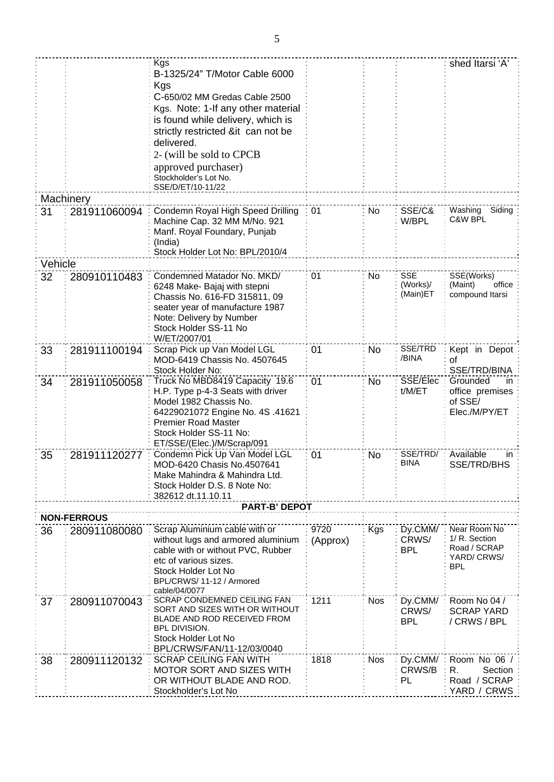|         |                    | Kgs                                                            |          |            |                        | shed Itarsi 'A'                 |
|---------|--------------------|----------------------------------------------------------------|----------|------------|------------------------|---------------------------------|
|         |                    | B-1325/24" T/Motor Cable 6000                                  |          |            |                        |                                 |
|         |                    | Kgs                                                            |          |            |                        |                                 |
|         |                    | C-650/02 MM Gredas Cable 2500                                  |          |            |                        |                                 |
|         |                    |                                                                |          |            |                        |                                 |
|         |                    | Kgs. Note: 1-If any other material                             |          |            |                        |                                 |
|         |                    | is found while delivery, which is                              |          |            |                        |                                 |
|         |                    | strictly restricted ⁢ can not be                               |          |            |                        |                                 |
|         |                    | delivered.                                                     |          |            |                        |                                 |
|         |                    | 2- (will be sold to CPCB                                       |          |            |                        |                                 |
|         |                    | approved purchaser)                                            |          |            |                        |                                 |
|         |                    | Stockholder's Lot No.                                          |          |            |                        |                                 |
|         |                    | SSE/D/ET/10-11/22                                              |          |            |                        |                                 |
|         | Machinery          |                                                                |          |            |                        |                                 |
| 31      | 281911060094       | Condemn Royal High Speed Drilling                              | 01       | No.        | SSE/C&                 | Washing<br>Siding               |
|         |                    | Machine Cap. 32 MM M/No. 921                                   |          |            | W/BPL                  | C&W BPL                         |
|         |                    | Manf. Royal Foundary, Punjab                                   |          |            |                        |                                 |
|         |                    | (India)                                                        |          |            |                        |                                 |
|         |                    | Stock Holder Lot No: BPL/2010/4                                |          |            |                        |                                 |
| Vehicle |                    |                                                                |          |            |                        |                                 |
|         |                    |                                                                |          |            |                        |                                 |
| 32      | 280910110483       | Condemned Matador No. MKD/                                     | 01       | No         | <b>SSE</b><br>(Works)/ | SSE(Works)<br>(Maint)<br>office |
|         |                    | 6248 Make- Bajaj with stepni                                   |          |            | (Main)ET               | compound Itarsi                 |
|         |                    | Chassis No. 616-FD 315811, 09                                  |          |            |                        |                                 |
|         |                    | seater year of manufacture 1987                                |          |            |                        |                                 |
|         |                    | Note: Delivery by Number                                       |          |            |                        |                                 |
|         |                    | Stock Holder SS-11 No                                          |          |            |                        |                                 |
|         |                    | W/ET/2007/01                                                   |          |            | SSE/TRD                |                                 |
| 33      | 281911100194       | Scrap Pick up Van Model LGL                                    | 01       | No         | /BINA                  | Kept in Depot                   |
|         |                    | MOD-6419 Chassis No. 4507645                                   |          |            |                        | 0f                              |
|         |                    | Stock Holder No:                                               |          |            |                        | SSE/TRD/BINA                    |
| 34      | 281911050058       | Truck No MBD8419 Capacity 19.6                                 | 01       | No         | SSE/Elec               | Grounded<br>in                  |
|         |                    | H.P. Type p-4-3 Seats with driver                              |          |            | t/M/ET                 | office premises<br>of SSE/      |
|         |                    | Model 1982 Chassis No.                                         |          |            |                        | Elec./M/PY/ET                   |
|         |                    | 64229021072 Engine No. 4S .41621<br><b>Premier Road Master</b> |          |            |                        |                                 |
|         |                    | Stock Holder SS-11 No:                                         |          |            |                        |                                 |
|         |                    | ET/SSE/(Elec.)/M/Scrap/091                                     |          |            |                        |                                 |
|         |                    | Condemn Pick Up Van Model LGL                                  |          |            | SSE/TRD/               | Available                       |
| 35      | 281911120277       |                                                                | 01       | No         | BINA                   | in<br>SSE/TRD/BHS               |
|         |                    | MOD-6420 Chasis No.4507641<br>Make Mahindra & Mahindra Ltd.    |          |            |                        |                                 |
|         |                    | Stock Holder D.S. 8 Note No:                                   |          |            |                        |                                 |
|         |                    | 382612 dt.11.10.11                                             |          |            |                        |                                 |
|         |                    | <b>PART-B' DEPOT</b>                                           |          |            |                        |                                 |
|         | <b>NON-FERROUS</b> |                                                                |          |            |                        |                                 |
|         |                    | Scrap Aluminium cable with or                                  | 9720     | Kgs        | Dy.CMM/                | Near Room No                    |
| 36      | 280911080080       | without lugs and armored aluminium                             |          |            | CRWS/                  | 1/ R. Section                   |
|         |                    | cable with or without PVC, Rubber                              | (Approx) |            | <b>BPL</b>             | Road / SCRAP                    |
|         |                    | etc of various sizes.                                          |          |            |                        | YARD/ CRWS/                     |
|         |                    | Stock Holder Lot No                                            |          |            |                        | <b>BPL</b>                      |
|         |                    | BPL/CRWS/11-12 / Armored                                       |          |            |                        |                                 |
|         |                    | cable/04/0077                                                  |          |            |                        |                                 |
| 37      | 280911070043       | <b>SCRAP CONDEMNED CEILING FAN</b>                             | 1211     | Nos        | Dy.CMM/                | Room No 04 /                    |
|         |                    | SORT AND SIZES WITH OR WITHOUT                                 |          |            | CRWS/                  | <b>SCRAP YARD</b>               |
|         |                    | BLADE AND ROD RECEIVED FROM                                    |          |            | <b>BPL</b>             | / CRWS / BPL                    |
|         |                    | <b>BPL DIVISION.</b>                                           |          |            |                        |                                 |
|         |                    | Stock Holder Lot No                                            |          |            |                        |                                 |
|         |                    | BPL/CRWS/FAN/11-12/03/0040                                     |          |            |                        |                                 |
| 38      | 280911120132       | <b>SCRAP CEILING FAN WITH</b>                                  | 1818     | <b>Nos</b> | Dy.CMM/                | Room No 06 /                    |
|         |                    | <b>MOTOR SORT AND SIZES WITH</b>                               |          |            | CRWS/B                 | Section<br>R.                   |
|         |                    | OR WITHOUT BLADE AND ROD.<br>Stockholder's Lot No              |          |            | PL                     | Road / SCRAP                    |
|         |                    |                                                                |          |            |                        | YARD / CRWS                     |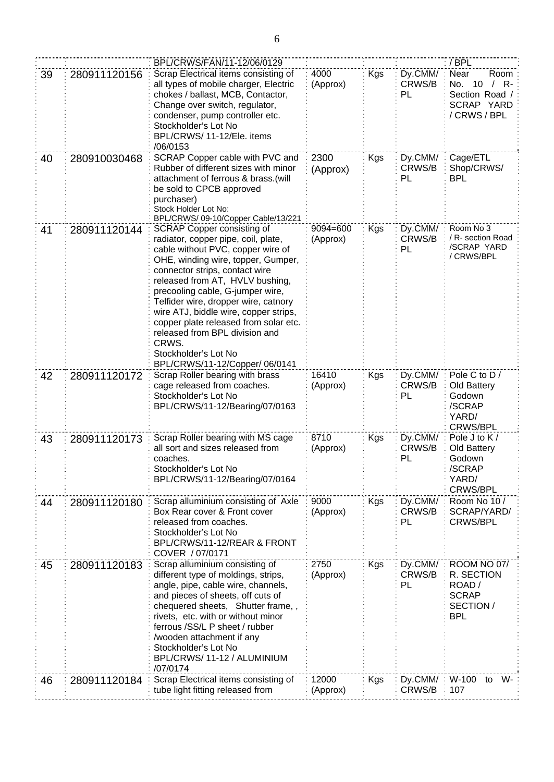|    |              | BPL/CRWS/FAN/11-12/06/0129                                                                                                                                                                                                                                                                                                                                                                                                                                                                  |                      |     |                         | / BPL                                                                                       |
|----|--------------|---------------------------------------------------------------------------------------------------------------------------------------------------------------------------------------------------------------------------------------------------------------------------------------------------------------------------------------------------------------------------------------------------------------------------------------------------------------------------------------------|----------------------|-----|-------------------------|---------------------------------------------------------------------------------------------|
| 39 | 280911120156 | Scrap Electrical items consisting of<br>all types of mobile charger, Electric<br>chokes / ballast, MCB, Contactor,<br>Change over switch, regulator,<br>condenser, pump controller etc.<br>Stockholder's Lot No<br>BPL/CRWS/ 11-12/Ele. items<br>/06/0153                                                                                                                                                                                                                                   | 4000<br>(Approx)     | Kgs | Dy.CMM/<br>CRWS/B<br>PL | Near<br>Room<br>R-<br>No.<br>10<br>$\prime$<br>Section Road /<br>SCRAP YARD<br>/ CRWS / BPL |
| 40 | 280910030468 | SCRAP Copper cable with PVC and<br>Rubber of different sizes with minor<br>attachment of ferrous & brass.(will<br>be sold to CPCB approved<br>purchaser)<br>Stock Holder Lot No:<br>BPL/CRWS/09-10/Copper Cable/13/221                                                                                                                                                                                                                                                                      | 2300<br>(Approx)     | Kgs | Dy.CMM/<br>CRWS/B<br>PL | Cage/ETL<br>Shop/CRWS/<br><b>BPL</b>                                                        |
| 41 | 280911120144 | <b>SCRAP Copper consisting of</b><br>radiator, copper pipe, coil, plate,<br>cable without PVC, copper wire of<br>OHE, winding wire, topper, Gumper,<br>connector strips, contact wire<br>released from AT, HVLV bushing,<br>precooling cable, G-jumper wire,<br>Telfider wire, dropper wire, catnory<br>wire ATJ, biddle wire, copper strips,<br>copper plate released from solar etc.<br>released from BPL division and<br>CRWS.<br>Stockholder's Lot No<br>BPL/CRWS/11-12/Copper/ 06/0141 | 9094=600<br>(Approx) | Kgs | Dy.CMM/<br>CRWS/B<br>PL | Room No 3<br>/ R- section Road<br>/SCRAP YARD<br>/ CRWS/BPL                                 |
| 42 | 280911120172 | Scrap Roller bearing with brass<br>cage released from coaches.<br>Stockholder's Lot No<br>BPL/CRWS/11-12/Bearing/07/0163                                                                                                                                                                                                                                                                                                                                                                    | 16410<br>(Approx)    | Kgs | Dy.CMM/<br>CRWS/B<br>PL | Pole C to D /<br>Old Battery<br>Godown<br>/SCRAP<br>YARD/<br><b>CRWS/BPL</b>                |
| 43 | 280911120173 | Scrap Roller bearing with MS cage<br>all sort and sizes released from<br>coaches.<br>Stockholder's Lot No<br>BPL/CRWS/11-12/Bearing/07/0164                                                                                                                                                                                                                                                                                                                                                 | 8710<br>(Approx)     | Kgs | Dy.CMM/<br>CRWS/B<br>PL | Pole J to K /<br>Old Battery<br>Godown<br>/SCRAP<br>YARD/<br>CRWS/BPL                       |
| 44 | 280911120180 | Scrap alluminium consisting of Axle<br>Box Rear cover & Front cover<br>released from coaches.<br>Stockholder's Lot No<br>BPL/CRWS/11-12/REAR & FRONT<br>COVER / 07/0171                                                                                                                                                                                                                                                                                                                     | 9000<br>(Approx)     | Kgs | Dy.CMM/<br>CRWS/B<br>PL | Room No 10 /<br>SCRAP/YARD/<br>CRWS/BPL                                                     |
| 45 | 280911120183 | Scrap alluminium consisting of<br>different type of moldings, strips,<br>angle, pipe, cable wire, channels,<br>and pieces of sheets, off cuts of<br>chequered sheets, Shutter frame,,<br>rivets, etc. with or without minor<br>ferrous /SS/L P sheet / rubber<br>/wooden attachment if any<br>Stockholder's Lot No<br>BPL/CRWS/11-12 / ALUMINIUM<br>/07/0174                                                                                                                                | 2750<br>(Approx)     | Kgs | Dy.CMM/<br>CRWS/B<br>PL | <b>ROOM NO 07/</b><br>R. SECTION<br>ROAD /<br><b>SCRAP</b><br>SECTION /<br><b>BPL</b>       |
| 46 | 280911120184 | Scrap Electrical items consisting of<br>tube light fitting released from                                                                                                                                                                                                                                                                                                                                                                                                                    | 12000<br>(Approx)    | Kgs | Dy.CMM/<br>CRWS/B       | W-100<br>W-<br>to<br>107                                                                    |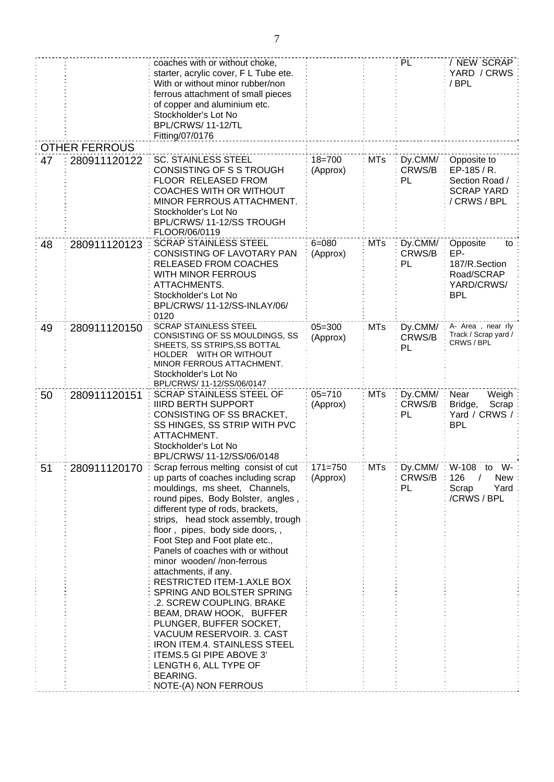|    |                      | coaches with or without choke,<br>starter, acrylic cover, F L Tube ete.<br>With or without minor rubber/non<br>ferrous attachment of small pieces<br>of copper and aluminium etc.<br>Stockholder's Lot No<br>BPL/CRWS/11-12/TL<br>Fitting/07/0176                                                                                                                                                                                                                                                                                                                                                                                                                                                         |                         |            | PL                            | / NEW SCRAP<br>YARD / CRWS:<br>/ BPL                                              |
|----|----------------------|-----------------------------------------------------------------------------------------------------------------------------------------------------------------------------------------------------------------------------------------------------------------------------------------------------------------------------------------------------------------------------------------------------------------------------------------------------------------------------------------------------------------------------------------------------------------------------------------------------------------------------------------------------------------------------------------------------------|-------------------------|------------|-------------------------------|-----------------------------------------------------------------------------------|
|    | <b>OTHER FERROUS</b> |                                                                                                                                                                                                                                                                                                                                                                                                                                                                                                                                                                                                                                                                                                           |                         |            |                               |                                                                                   |
| 47 | 280911120122         | <b>SC. STAINLESS STEEL</b><br>CONSISTING OF S S TROUGH<br>FLOOR RELEASED FROM<br><b>COACHES WITH OR WITHOUT</b><br>MINOR FERROUS ATTACHMENT.<br>Stockholder's Lot No<br>BPL/CRWS/11-12/SS TROUGH<br>FLOOR/06/0119                                                                                                                                                                                                                                                                                                                                                                                                                                                                                         | $18 = 700$<br>(Approx)  | <b>MTs</b> | Dy.CMM/<br>CRWS/B<br>PL       | Opposite to<br>EP-185 / R.<br>Section Road /<br><b>SCRAP YARD</b><br>/ CRWS / BPL |
| 48 | 280911120123         | <b>SCRAP STAINLESS STEEL</b><br>CONSISTING OF LAVOTARY PAN<br>RELEASED FROM COACHES<br><b>WITH MINOR FERROUS</b><br>ATTACHMENTS.<br>Stockholder's Lot No<br>BPL/CRWS/ 11-12/SS-INLAY/06/<br>0120                                                                                                                                                                                                                                                                                                                                                                                                                                                                                                          | $6 = 080$<br>(Approx)   | <b>MTs</b> | Dy.CMM/<br>CRWS/B<br>PL       | Opposite<br>to<br>EP-<br>187/R.Section<br>Road/SCRAP<br>YARD/CRWS/<br><b>BPL</b>  |
| 49 | 280911120150         | <b>SCRAP STAINLESS STEEL</b><br>CONSISTING OF SS MOULDINGS, SS<br>SHEETS, SS STRIPS, SS BOTTAL<br>HOLDER WITH OR WITHOUT<br>MINOR FERROUS ATTACHMENT.<br>Stockholder's Lot No<br>BPL/CRWS/ 11-12/SS/06/0147                                                                                                                                                                                                                                                                                                                                                                                                                                                                                               | $05 = 300$<br>(Approx)  | <b>MTs</b> | Dy.CMM/<br>CRWS/B<br>PL       | A- Area, near rly<br>Track / Scrap yard /<br>CRWS / BPL                           |
| 50 | 280911120151         | <b>SCRAP STAINLESS STEEL OF</b><br><b>IIIRD BERTH SUPPORT</b><br>CONSISTING OF SS BRACKET,<br>SS HINGES, SS STRIP WITH PVC<br>ATTACHMENT.<br>Stockholder's Lot No<br>BPL/CRWS/ 11-12/SS/06/0148                                                                                                                                                                                                                                                                                                                                                                                                                                                                                                           | $05 = 710$<br>(Approx)  | <b>MTs</b> | Dy.CMM/<br>CRWS/B<br>PL       | Near<br>Weigh<br>Bridge,<br>Scrap<br>Yard / CRWS /<br><b>BPL</b>                  |
| 51 | 280911120170         | Scrap ferrous melting consist of cut<br>up parts of coaches including scrap<br>mouldings, ms sheet, Channels,<br>round pipes, Body Bolster, angles,<br>different type of rods, brackets,<br>strips, head stock assembly, trough<br>floor, pipes, body side doors,,<br>Foot Step and Foot plate etc.,<br>Panels of coaches with or without<br>minor wooden//non-ferrous<br>attachments, if any.<br>RESTRICTED ITEM-1.AXLE BOX<br>SPRING AND BOLSTER SPRING<br>.2. SCREW COUPLING. BRAKE<br>BEAM, DRAW HOOK, BUFFER<br>PLUNGER, BUFFER SOCKET,<br>VACUUM RESERVOIR. 3. CAST<br><b>IRON ITEM.4. STAINLESS STEEL</b><br>ITEMS.5 GI PIPE ABOVE 3'<br>LENGTH 6, ALL TYPE OF<br>BEARING.<br>NOTE-(A) NON FERROUS | $171 = 750$<br>(Approx) | MTs        | Dy.CMM/ W-108<br>CRWS/B<br>PL | to W-<br>126<br>New<br>Scrap<br>Yard<br>/CRWS / BPL                               |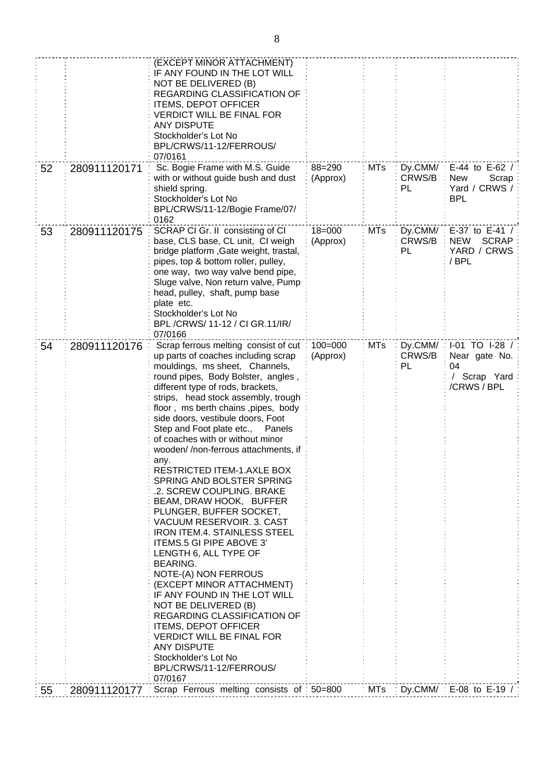| 52 | 280911120171 | (EXCEPT MINOR ATTACHMENT)<br>IF ANY FOUND IN THE LOT WILL<br>NOT BE DELIVERED (B)<br>REGARDING CLASSIFICATION OF<br><b>ITEMS, DEPOT OFFICER</b><br><b>VERDICT WILL BE FINAL FOR</b><br><b>ANY DISPUTE</b><br>Stockholder's Lot No<br>BPL/CRWS/11-12/FERROUS/<br>07/0161<br>Sc. Bogie Frame with M.S. Guide<br>with or without guide bush and dust<br>shield spring.<br>Stockholder's Lot No<br>BPL/CRWS/11-12/Bogie Frame/07/<br>0162                                                                                                                                                                                                                                                                                                                                                                                                                                                                                                                                                                                   | 88=290<br>(Approx)      | <b>MTs</b> | Dy.CMM/<br>CRWS/B<br>PL | E-44 to E-62 /<br><b>New</b><br>Scrap<br>Yard / CRWS /<br><b>BPL</b> |
|----|--------------|-------------------------------------------------------------------------------------------------------------------------------------------------------------------------------------------------------------------------------------------------------------------------------------------------------------------------------------------------------------------------------------------------------------------------------------------------------------------------------------------------------------------------------------------------------------------------------------------------------------------------------------------------------------------------------------------------------------------------------------------------------------------------------------------------------------------------------------------------------------------------------------------------------------------------------------------------------------------------------------------------------------------------|-------------------------|------------|-------------------------|----------------------------------------------------------------------|
| 53 | 280911120175 | SCRAP CI Gr. II consisting of CI<br>base, CLS base, CL unit, CI weigh<br>bridge platform, Gate weight, trastal,<br>pipes, top & bottom roller, pulley,<br>one way, two way valve bend pipe,<br>Sluge valve, Non return valve, Pump<br>head, pulley, shaft, pump base<br>plate etc.<br>Stockholder's Lot No<br>BPL /CRWS/ 11-12 / CI GR.11/IR/<br>07/0166                                                                                                                                                                                                                                                                                                                                                                                                                                                                                                                                                                                                                                                                | $18 = 000$<br>(Approx)  | <b>MTs</b> | Dy.CMM/<br>CRWS/B<br>PL | E-37 to E-41 /<br><b>SCRAP</b><br><b>NEW</b><br>YARD / CRWS<br>/ BPL |
| 54 | 280911120176 | Scrap ferrous melting consist of cut<br>up parts of coaches including scrap<br>mouldings, ms sheet, Channels,<br>round pipes, Body Bolster, angles,<br>different type of rods, brackets,<br>strips, head stock assembly, trough<br>floor, ms berth chains, pipes, body<br>side doors, vestibule doors, Foot<br>Step and Foot plate etc.,<br>Panels<br>of coaches with or without minor<br>wooden//non-ferrous attachments, if<br>any.<br>RESTRICTED ITEM-1.AXLE BOX<br>SPRING AND BOLSTER SPRING<br>.2. SCREW COUPLING. BRAKE<br>BEAM, DRAW HOOK, BUFFER<br>PLUNGER, BUFFER SOCKET,<br>VACUUM RESERVOIR. 3. CAST<br><b>IRON ITEM.4. STAINLESS STEEL</b><br>ITEMS.5 GI PIPE ABOVE 3'<br>LENGTH 6, ALL TYPE OF<br><b>BEARING.</b><br>NOTE-(A) NON FERROUS<br>(EXCEPT MINOR ATTACHMENT)<br>IF ANY FOUND IN THE LOT WILL<br>NOT BE DELIVERED (B)<br>REGARDING CLASSIFICATION OF<br><b>ITEMS, DEPOT OFFICER</b><br><b>VERDICT WILL BE FINAL FOR</b><br><b>ANY DISPUTE</b><br>Stockholder's Lot No<br>BPL/CRWS/11-12/FERROUS/ | $100 = 000$<br>(Approx) | <b>MTs</b> | Dy.CMM/<br>CRWS/B<br>PL | I-01 TO I-28 /<br>Near gate No.<br>04<br>/ Scrap Yard<br>/CRWS / BPL |
| 55 | 280911120177 | 07/0167<br>Scrap Ferrous melting consists of 50=800                                                                                                                                                                                                                                                                                                                                                                                                                                                                                                                                                                                                                                                                                                                                                                                                                                                                                                                                                                     |                         | : MTs      |                         | Dy.CMM/: E-08 to E-19 /:                                             |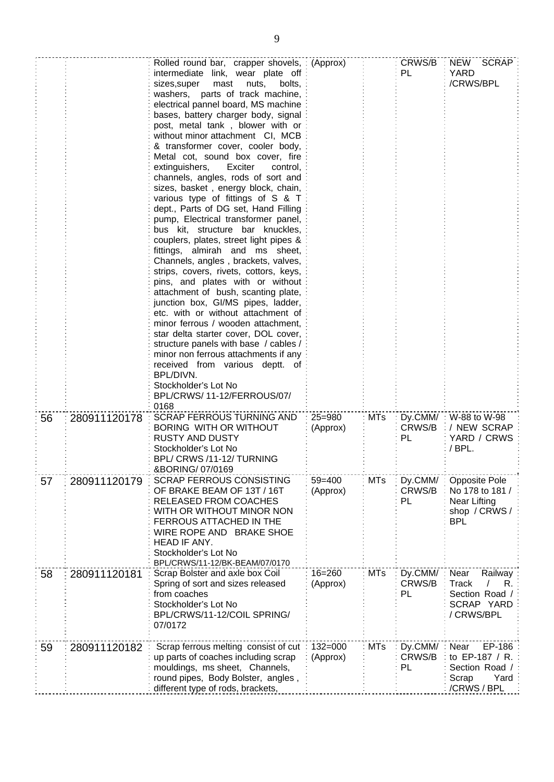|    |              | Rolled round bar, crapper shovels, : (Approx)<br>intermediate link, wear plate off<br>bolts,<br>sizes, super<br>mast<br>nuts,<br>washers, parts of track machine,<br>electrical pannel board, MS machine<br>bases, battery charger body, signal<br>post, metal tank, blower with or<br>without minor attachment CI, MCB<br>& transformer cover, cooler body,<br>Metal cot, sound box cover, fire<br>extinguishers,<br>Exciter<br>control.<br>channels, angles, rods of sort and<br>sizes, basket, energy block, chain,<br>various type of fittings of S & T<br>dept., Parts of DG set, Hand Filling<br>pump, Electrical transformer panel,<br>bus kit, structure bar knuckles,<br>couplers, plates, street light pipes &<br>fittings, almirah and ms sheet,<br>Channels, angles, brackets, valves,<br>strips, covers, rivets, cottors, keys,<br>pins, and plates with or without<br>attachment of bush, scanting plate,<br>junction box, GI/MS pipes, ladder,<br>etc. with or without attachment of<br>minor ferrous / wooden attachment,<br>star delta starter cover, DOL cover,<br>structure panels with base / cables /<br>minor non ferrous attachments if any<br>received from various deptt. of<br>BPL/DIVN.<br>Stockholder's Lot No<br>BPL/CRWS/11-12/FERROUS/07/ |                         |            | CRWS/B<br>PL             | NEW<br><b>SCRAP</b><br><b>YARD</b><br>/CRWS/BPL                                      |
|----|--------------|--------------------------------------------------------------------------------------------------------------------------------------------------------------------------------------------------------------------------------------------------------------------------------------------------------------------------------------------------------------------------------------------------------------------------------------------------------------------------------------------------------------------------------------------------------------------------------------------------------------------------------------------------------------------------------------------------------------------------------------------------------------------------------------------------------------------------------------------------------------------------------------------------------------------------------------------------------------------------------------------------------------------------------------------------------------------------------------------------------------------------------------------------------------------------------------------------------------------------------------------------------------------------|-------------------------|------------|--------------------------|--------------------------------------------------------------------------------------|
| 56 | 280911120178 | 0168<br><b>SCRAP FERROUS TURNING AND</b><br>BORING WITH OR WITHOUT<br><b>RUSTY AND DUSTY</b><br>Stockholder's Lot No<br>BPL/ CRWS /11-12/ TURNING<br>&BORING/ 07/0169                                                                                                                                                                                                                                                                                                                                                                                                                                                                                                                                                                                                                                                                                                                                                                                                                                                                                                                                                                                                                                                                                                    | $25 = 980$<br>(Approx)  | MTs        | Dy.CMM/:<br>CRWS/B<br>PL | W-88 to W-98<br>/ NEW SCRAP<br>YARD / CRWS<br>/BPL.                                  |
| 57 | 280911120179 | <b>SCRAP FERROUS CONSISTING</b><br>OF BRAKE BEAM OF 13T / 16T<br>RELEASED FROM COACHES<br>WITH OR WITHOUT MINOR NON<br>FERROUS ATTACHED IN THE<br>WIRE ROPE AND BRAKE SHOE<br>HEAD IF ANY.<br>Stockholder's Lot No<br>BPL/CRWS/11-12/BK-BEAM/07/0170                                                                                                                                                                                                                                                                                                                                                                                                                                                                                                                                                                                                                                                                                                                                                                                                                                                                                                                                                                                                                     | $59 = 400$<br>(Approx)  | <b>MTs</b> | Dy.CMM/<br>CRWS/B<br>PL  | <b>Opposite Pole</b><br>No 178 to 181<br>Near Lifting<br>shop / CRWS /<br><b>BPL</b> |
| 58 | 280911120181 | Scrap Bolster and axle box Coil<br>Spring of sort and sizes released<br>from coaches<br>Stockholder's Lot No<br>BPL/CRWS/11-12/COIL SPRING/<br>07/0172                                                                                                                                                                                                                                                                                                                                                                                                                                                                                                                                                                                                                                                                                                                                                                                                                                                                                                                                                                                                                                                                                                                   | $16 = 260$<br>(Approx)  | <b>MTs</b> | Dy.CMM/<br>CRWS/B<br>PL  | Near<br>Railway<br><b>Track</b><br>R.<br>Section Road /<br>SCRAP YARD<br>/ CRWS/BPL  |
| 59 | 280911120182 | Scrap ferrous melting consist of cut<br>up parts of coaches including scrap<br>mouldings, ms sheet, Channels,<br>round pipes, Body Bolster, angles,<br>different type of rods, brackets,                                                                                                                                                                                                                                                                                                                                                                                                                                                                                                                                                                                                                                                                                                                                                                                                                                                                                                                                                                                                                                                                                 | $132 = 000$<br>(Approx) | <b>MTs</b> | Dy.CMM/<br>CRWS/B<br>PL  | EP-186<br>Near<br>to EP-187 / R.<br>Section Road / :<br>Yard<br>Scrap<br>/CRWS / BPL |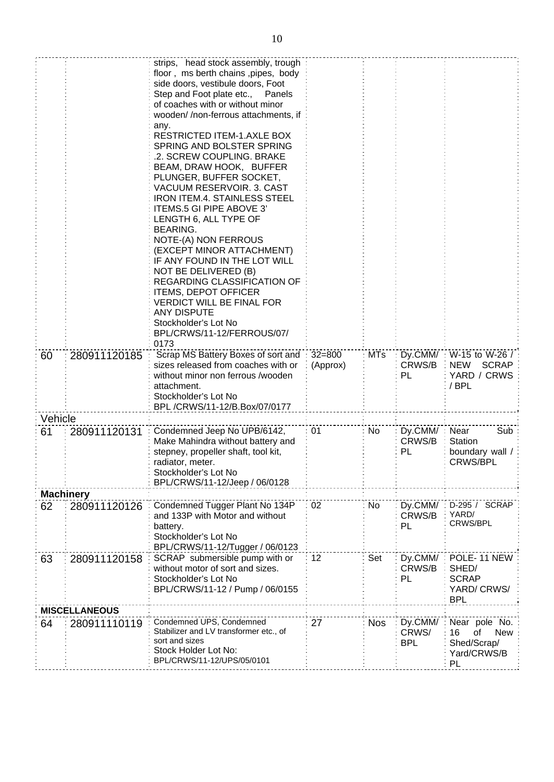|                  |                      | strips, head stock assembly, trough               |            |            |            |                            |
|------------------|----------------------|---------------------------------------------------|------------|------------|------------|----------------------------|
|                  |                      | floor, ms berth chains, pipes, body               |            |            |            |                            |
|                  |                      | side doors, vestibule doors, Foot                 |            |            |            |                            |
|                  |                      | Step and Foot plate etc., Panels                  |            |            |            |                            |
|                  |                      | of coaches with or without minor                  |            |            |            |                            |
|                  |                      | wooden//non-ferrous attachments, if               |            |            |            |                            |
|                  |                      | any.                                              |            |            |            |                            |
|                  |                      | <b>RESTRICTED ITEM-1.AXLE BOX</b>                 |            |            |            |                            |
|                  |                      | SPRING AND BOLSTER SPRING                         |            |            |            |                            |
|                  |                      | .2. SCREW COUPLING. BRAKE                         |            |            |            |                            |
|                  |                      | BEAM, DRAW HOOK, BUFFER                           |            |            |            |                            |
|                  |                      | PLUNGER, BUFFER SOCKET,                           |            |            |            |                            |
|                  |                      | VACUUM RESERVOIR. 3. CAST                         |            |            |            |                            |
|                  |                      | <b>IRON ITEM.4. STAINLESS STEEL</b>               |            |            |            |                            |
|                  |                      | ITEMS.5 GI PIPE ABOVE 3'                          |            |            |            |                            |
|                  |                      | LENGTH 6, ALL TYPE OF                             |            |            |            |                            |
|                  |                      | <b>BEARING.</b>                                   |            |            |            |                            |
|                  |                      | NOTE-(A) NON FERROUS<br>(EXCEPT MINOR ATTACHMENT) |            |            |            |                            |
|                  |                      | IF ANY FOUND IN THE LOT WILL                      |            |            |            |                            |
|                  |                      | NOT BE DELIVERED (B)                              |            |            |            |                            |
|                  |                      | <b>REGARDING CLASSIFICATION OF</b>                |            |            |            |                            |
|                  |                      | <b>ITEMS, DEPOT OFFICER</b>                       |            |            |            |                            |
|                  |                      | VERDICT WILL BE FINAL FOR                         |            |            |            |                            |
|                  |                      | <b>ANY DISPUTE</b>                                |            |            |            |                            |
|                  |                      | Stockholder's Lot No                              |            |            |            |                            |
|                  |                      | BPL/CRWS/11-12/FERROUS/07/                        |            |            |            |                            |
|                  |                      | 0173                                              |            |            |            |                            |
| 60               | 280911120185         | Scrap MS Battery Boxes of sort and                | $32 = 800$ | <b>MTs</b> | Dy.CMM/:   | W-15 to W-26 /             |
|                  |                      | sizes released from coaches with or               | (Approx)   |            | CRWS/B     | <b>SCRAP</b><br><b>NEW</b> |
|                  |                      | without minor non ferrous /wooden                 |            |            | PL         | YARD / CRWS                |
|                  |                      | attachment.                                       |            |            |            | /BPL                       |
|                  |                      | Stockholder's Lot No                              |            |            |            |                            |
|                  |                      | BPL/CRWS/11-12/B.Box/07/0177                      |            |            |            |                            |
| Vehicle          |                      |                                                   |            |            |            |                            |
| 61               | 280911120131         | Condemned Jeep No UPB/6142,                       | 01         | No         | Dy.CMM/    | Near<br>Sub                |
|                  |                      | Make Mahindra without battery and                 |            |            | CRWS/B     | Station                    |
|                  |                      | stepney, propeller shaft, tool kit,               |            |            | PL         | boundary wall /            |
|                  |                      | radiator, meter.                                  |            |            |            | <b>CRWS/BPL</b>            |
|                  |                      | Stockholder's Lot No                              |            |            |            |                            |
|                  |                      | BPL/CRWS/11-12/Jeep / 06/0128                     |            |            |            |                            |
| <b>Machinery</b> |                      |                                                   |            |            |            |                            |
| 62               | 280911120126         | Condemned Tugger Plant No 134P                    | 02         | No         | Dy.CMM/    | D-295 / SCRAP              |
|                  |                      | and 133P with Motor and without                   |            |            | CRWS/B     | YARD/                      |
|                  |                      | battery.                                          |            |            | PL         | CRWS/BPL                   |
|                  |                      | Stockholder's Lot No                              |            |            |            |                            |
|                  |                      | BPL/CRWS/11-12/Tugger / 06/0123                   |            |            |            |                            |
| 63               | 280911120158         | SCRAP submersible pump with or                    | 12         | Set        | Dy.CMM/    | POLE-11 NEW                |
|                  |                      | without motor of sort and sizes.                  |            |            | CRWS/B     | SHED/                      |
|                  |                      | Stockholder's Lot No                              |            |            | PL         | <b>SCRAP</b>               |
|                  |                      | BPL/CRWS/11-12 / Pump / 06/0155                   |            |            |            | YARD/ CRWS/                |
|                  |                      |                                                   |            |            |            | <b>BPL</b>                 |
|                  | <b>MISCELLANEOUS</b> |                                                   |            |            |            |                            |
| 64               | 280911110119         | Condemned UPS, Condemned                          | 27         | <b>Nos</b> | Dy.CMM/    | Near pole No.              |
|                  |                      | Stabilizer and LV transformer etc., of            |            |            | CRWS/      | New<br>16<br>οf            |
|                  |                      | sort and sizes<br>Stock Holder Lot No:            |            |            | <b>BPL</b> | Shed/Scrap/                |
|                  |                      | BPL/CRWS/11-12/UPS/05/0101                        |            |            |            | Yard/CRWS/B                |
|                  |                      |                                                   |            |            |            | PL                         |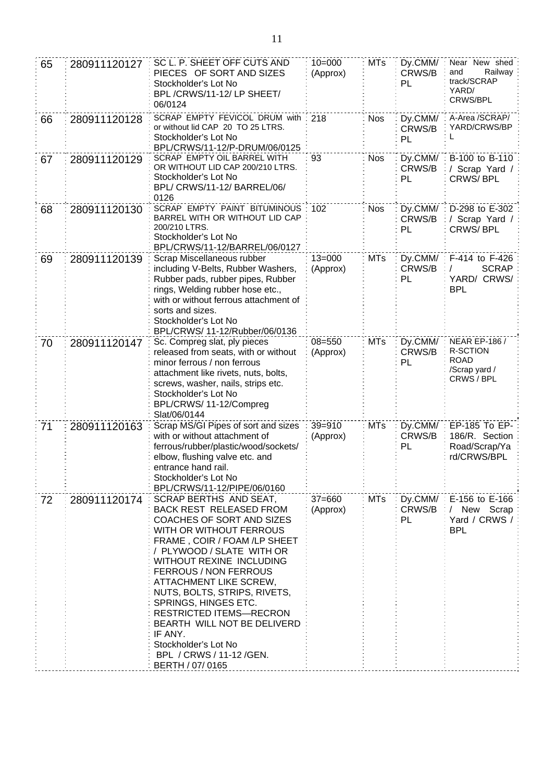| 65 | 280911120127 | SC L. P. SHEET OFF CUTS AND<br>PIECES OF SORT AND SIZES<br>Stockholder's Lot No<br>BPL/CRWS/11-12/LP SHEET/<br>06/0124                                                                                                                                                                                                                                                                                                                                                   | $10 = 000$<br>(Approx) | <b>MTs</b> | Dy.CMM/<br>CRWS/B<br>PL | Near New shed<br>Railway<br>and<br>track/SCRAP<br>YARD/<br>CRWS/BPL                   |
|----|--------------|--------------------------------------------------------------------------------------------------------------------------------------------------------------------------------------------------------------------------------------------------------------------------------------------------------------------------------------------------------------------------------------------------------------------------------------------------------------------------|------------------------|------------|-------------------------|---------------------------------------------------------------------------------------|
| 66 | 280911120128 | SCRAP EMPTY FEVICOL DRUM with<br>or without lid CAP 20 TO 25 LTRS.<br>Stockholder's Lot No<br>BPL/CRWS/11-12/P-DRUM/06/0125                                                                                                                                                                                                                                                                                                                                              | 218                    | <b>Nos</b> | Dy.CMM/<br>CRWS/B<br>PL | A-Area /SCRAP/<br>YARD/CRWS/BP<br>L                                                   |
| 67 | 280911120129 | SCRAP EMPTY OIL BARREL WITH<br>OR WITHOUT LID CAP 200/210 LTRS.<br>Stockholder's Lot No<br>BPL/ CRWS/11-12/ BARREL/06/<br>0126                                                                                                                                                                                                                                                                                                                                           | 93                     | <b>Nos</b> | Dy.CMM/<br>CRWS/B<br>PL | B-100 to B-110<br>/ Scrap Yard /<br><b>CRWS/BPL</b>                                   |
| 68 | 280911120130 | SCRAP EMPTY PAINT BITUMINOUS<br>BARREL WITH OR WITHOUT LID CAP<br>200/210 LTRS.<br>Stockholder's Lot No<br>BPL/CRWS/11-12/BARREL/06/0127                                                                                                                                                                                                                                                                                                                                 | 102                    | <b>Nos</b> | Dy.CMM/<br>CRWS/B<br>PL | D-298 to E-302<br>/ Scrap Yard /<br><b>CRWS/BPL</b>                                   |
| 69 | 280911120139 | Scrap Miscellaneous rubber<br>including V-Belts, Rubber Washers,<br>Rubber pads, rubber pipes, Rubber<br>rings, Welding rubber hose etc.,<br>with or without ferrous attachment of<br>sorts and sizes.<br>Stockholder's Lot No<br>BPL/CRWS/ 11-12/Rubber/06/0136                                                                                                                                                                                                         | $13 = 000$<br>(Approx) | <b>MTs</b> | Dy.CMM/<br>CRWS/B<br>PL | F-414 to F-426<br><b>SCRAP</b><br>CRWS/<br>YARD/<br><b>BPL</b>                        |
| 70 | 280911120147 | Sc. Compreg slat, ply pieces<br>released from seats, with or without<br>minor ferrous / non ferrous<br>attachment like rivets, nuts, bolts,<br>screws, washer, nails, strips etc.<br>Stockholder's Lot No<br>BPL/CRWS/ 11-12/Compreg<br>Slat/06/0144                                                                                                                                                                                                                     | $08 = 550$<br>(Approx) | <b>MTs</b> | Dy.CMM/<br>CRWS/B<br>PL | <b>NEAR EP-186 /</b><br><b>R-SCTION</b><br><b>ROAD</b><br>/Scrap yard /<br>CRWS / BPL |
| 71 | 280911120163 | Scrap MS/GI Pipes of sort and sizes<br>with or without attachment of<br>ferrous/rubber/plastic/wood/sockets/<br>elbow, flushing valve etc. and<br>entrance hand rail.<br>Stockholder's Lot No<br>BPL/CRWS/11-12/PIPE/06/0160                                                                                                                                                                                                                                             | $39 = 910$<br>(Approx) | <b>MTs</b> | Dy.CMM/<br>CRWS/B<br>PL | EP-185 To EP-<br>186/R. Section<br>Road/Scrap/Ya<br>rd/CRWS/BPL                       |
| 72 | 280911120174 | SCRAP BERTHS AND SEAT,<br><b>BACK REST RELEASED FROM</b><br>COACHES OF SORT AND SIZES<br>WITH OR WITHOUT FERROUS<br>FRAME, COIR / FOAM /LP SHEET<br>/ PLYWOOD / SLATE WITH OR<br>WITHOUT REXINE INCLUDING<br>FERROUS / NON FERROUS<br>ATTACHMENT LIKE SCREW,<br>NUTS, BOLTS, STRIPS, RIVETS,<br>SPRINGS, HINGES ETC.<br><b>RESTRICTED ITEMS-RECRON</b><br>BEARTH WILL NOT BE DELIVERD<br>IF ANY.<br>Stockholder's Lot No<br>BPL / CRWS / 11-12 / GEN.<br>BERTH / 07/0165 | $37 = 660$<br>(Approx) | <b>MTs</b> | Dy.CMM/<br>CRWS/B<br>PL | E-156 to E-166<br>/ New Scrap<br>Yard / CRWS /<br><b>BPL</b>                          |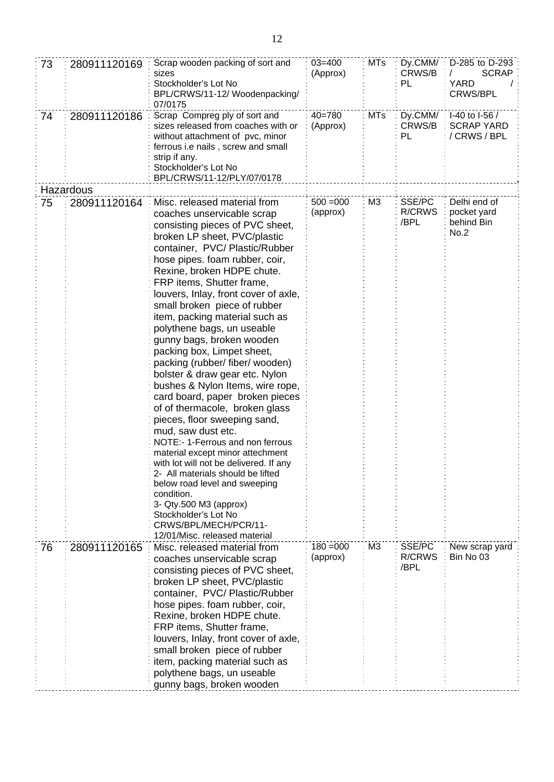| 73 | 280911120169 | Scrap wooden packing of sort and<br>sizes<br>Stockholder's Lot No<br>BPL/CRWS/11-12/ Woodenpacking/<br>07/0175                                                                                                                                                                                                                                                                                                                                                                                                                                                                                                                                                                                                                                                                                                                                                                                                                                                                     | $03 = 400$<br>(Approx)  | <b>MTs</b>     | CRWS/B<br>PL                    | Dy.CMM/: D-285 to D-293<br><b>SCRAP</b><br><b>YARD</b><br><b>CRWS/BPL</b> |
|----|--------------|------------------------------------------------------------------------------------------------------------------------------------------------------------------------------------------------------------------------------------------------------------------------------------------------------------------------------------------------------------------------------------------------------------------------------------------------------------------------------------------------------------------------------------------------------------------------------------------------------------------------------------------------------------------------------------------------------------------------------------------------------------------------------------------------------------------------------------------------------------------------------------------------------------------------------------------------------------------------------------|-------------------------|----------------|---------------------------------|---------------------------------------------------------------------------|
| 74 | 280911120186 | Scrap Compreg ply of sort and<br>sizes released from coaches with or<br>without attachment of pvc, minor<br>ferrous i.e nails , screw and small<br>strip if any.<br>Stockholder's Lot No<br>BPL/CRWS/11-12/PLY/07/0178                                                                                                                                                                                                                                                                                                                                                                                                                                                                                                                                                                                                                                                                                                                                                             | $40 = 780$<br>(Approx)  | <b>MTs</b>     | Dy.CMM/<br>CRWS/B<br>PL         | I-40 to I-56 /<br><b>SCRAP YARD</b><br>/ CRWS / BPL                       |
|    | Hazardous    |                                                                                                                                                                                                                                                                                                                                                                                                                                                                                                                                                                                                                                                                                                                                                                                                                                                                                                                                                                                    |                         |                |                                 |                                                                           |
| 75 | 280911120164 | Misc. released material from<br>coaches unservicable scrap<br>consisting pieces of PVC sheet,<br>broken LP sheet, PVC/plastic<br>container, PVC/Plastic/Rubber<br>hose pipes. foam rubber, coir,<br>Rexine, broken HDPE chute.<br>FRP items, Shutter frame,<br>louvers, Inlay, front cover of axle,<br>small broken piece of rubber<br>item, packing material such as<br>polythene bags, un useable<br>gunny bags, broken wooden<br>packing box, Limpet sheet,<br>packing (rubber/ fiber/ wooden)<br>bolster & draw gear etc. Nylon<br>bushes & Nylon Items, wire rope,<br>card board, paper broken pieces<br>of of thermacole, broken glass<br>pieces, floor sweeping sand,<br>mud, saw dust etc.<br>NOTE:-1-Ferrous and non ferrous<br>material except minor attechment<br>with lot will not be delivered. If any<br>2- All materials should be lifted<br>below road level and sweeping<br>condition.<br>3- Qty.500 M3 (approx)<br>Stockholder's Lot No<br>CRWS/BPL/MECH/PCR/11- | $500 = 000$<br>(approx) | M <sub>3</sub> | SSE/PC<br><b>R/CRWS</b><br>/BPL | Delhi end of<br>pocket yard<br>behind Bin<br>No.2                         |
| 76 | 280911120165 | 12/01/Misc. released material<br>Misc. released material from<br>coaches unservicable scrap<br>consisting pieces of PVC sheet,<br>broken LP sheet, PVC/plastic<br>container, PVC/ Plastic/Rubber<br>hose pipes. foam rubber, coir,<br>Rexine, broken HDPE chute.<br>FRP items, Shutter frame,<br>louvers, Inlay, front cover of axle,<br>small broken piece of rubber<br>item, packing material such as<br>polythene bags, un useable<br>gunny bags, broken wooden                                                                                                                                                                                                                                                                                                                                                                                                                                                                                                                 | $180 = 000$<br>(approx) | M <sub>3</sub> | SSE/PC<br><b>R/CRWS</b><br>/BPL | New scrap yard<br>Bin No 03                                               |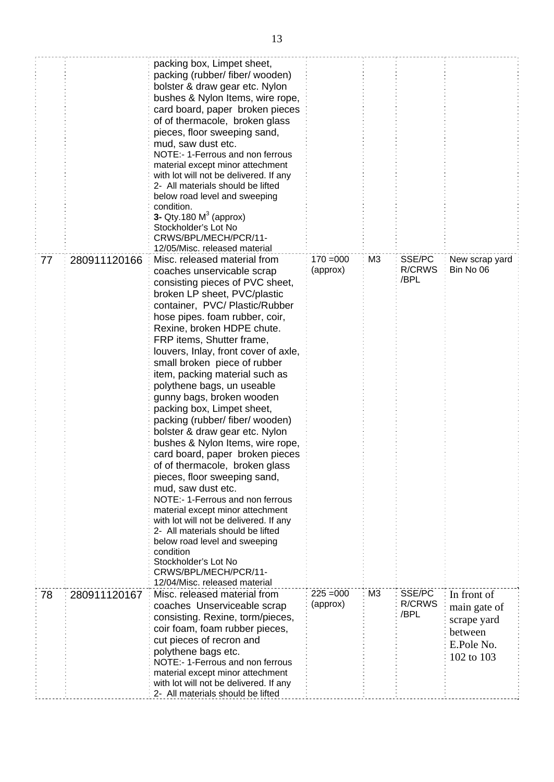|    |              | packing box, Limpet sheet,<br>packing (rubber/ fiber/ wooden)<br>bolster & draw gear etc. Nylon<br>bushes & Nylon Items, wire rope,<br>card board, paper broken pieces<br>of of thermacole, broken glass<br>pieces, floor sweeping sand,<br>mud, saw dust etc.<br>NOTE:- 1-Ferrous and non ferrous<br>material except minor attechment<br>with lot will not be delivered. If any<br>2- All materials should be lifted<br>below road level and sweeping<br>condition.<br>3- Qty.180 $M3$ (approx)<br>Stockholder's Lot No<br>CRWS/BPL/MECH/PCR/11-<br>12/05/Misc. released material                                                                                                                                                                                                                                                                                                                                                                        |                         |    |                          |                                                                                   |
|----|--------------|-----------------------------------------------------------------------------------------------------------------------------------------------------------------------------------------------------------------------------------------------------------------------------------------------------------------------------------------------------------------------------------------------------------------------------------------------------------------------------------------------------------------------------------------------------------------------------------------------------------------------------------------------------------------------------------------------------------------------------------------------------------------------------------------------------------------------------------------------------------------------------------------------------------------------------------------------------------|-------------------------|----|--------------------------|-----------------------------------------------------------------------------------|
| 77 | 280911120166 | Misc. released material from<br>coaches unservicable scrap<br>consisting pieces of PVC sheet,<br>broken LP sheet, PVC/plastic<br>container, PVC/ Plastic/Rubber<br>hose pipes. foam rubber, coir,<br>Rexine, broken HDPE chute.<br>FRP items, Shutter frame,<br>louvers, Inlay, front cover of axle,<br>small broken piece of rubber<br>item, packing material such as<br>polythene bags, un useable<br>gunny bags, broken wooden<br>packing box, Limpet sheet,<br>packing (rubber/ fiber/ wooden)<br>bolster & draw gear etc. Nylon<br>bushes & Nylon Items, wire rope,<br>card board, paper broken pieces<br>of of thermacole, broken glass<br>pieces, floor sweeping sand,<br>mud, saw dust etc.<br>NOTE:- 1-Ferrous and non ferrous<br>material except minor attechment<br>with lot will not be delivered. If any<br>2- All materials should be lifted<br>below road level and sweeping<br>condition<br>Stockholder's Lot No<br>CRWS/BPL/MECH/PCR/11- | $170 = 000$<br>(approx) | M3 | SSE/PC<br>R/CRWS<br>/BPL | New scrap yard<br>Bin No 06                                                       |
| 78 | 280911120167 | 12/04/Misc. released material<br>Misc. released material from<br>coaches Unserviceable scrap<br>consisting. Rexine, torm/pieces,<br>coir foam, foam rubber pieces,<br>cut pieces of recron and<br>polythene bags etc.<br>NOTE:- 1-Ferrous and non ferrous<br>material except minor attechment<br>with lot will not be delivered. If any<br>2- All materials should be lifted                                                                                                                                                                                                                                                                                                                                                                                                                                                                                                                                                                              | $225 = 000$<br>(approx) | M3 | SSE/PC<br>R/CRWS<br>/BPL | In front of<br>main gate of<br>scrape yard<br>between<br>E.Pole No.<br>102 to 103 |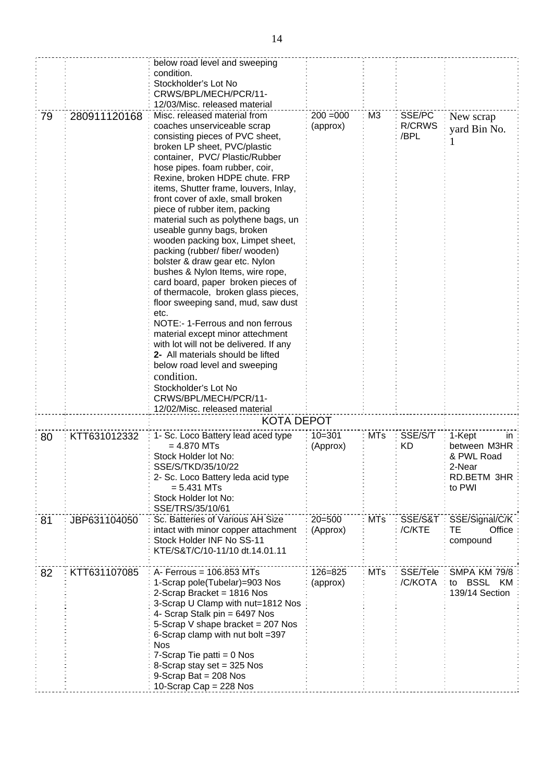|    |              | below road level and sweeping<br>condition.<br>Stockholder's Lot No<br>CRWS/BPL/MECH/PCR/11-<br>12/03/Misc. released material                                                                                                                                                                                                                                                                                                                                                                                                                                                                                                                                                                                                                                                                                                                                                                                                                                                            |                         |            |                                 |                                                                               |
|----|--------------|------------------------------------------------------------------------------------------------------------------------------------------------------------------------------------------------------------------------------------------------------------------------------------------------------------------------------------------------------------------------------------------------------------------------------------------------------------------------------------------------------------------------------------------------------------------------------------------------------------------------------------------------------------------------------------------------------------------------------------------------------------------------------------------------------------------------------------------------------------------------------------------------------------------------------------------------------------------------------------------|-------------------------|------------|---------------------------------|-------------------------------------------------------------------------------|
| 79 | 280911120168 | Misc. released material from<br>coaches unserviceable scrap<br>consisting pieces of PVC sheet,<br>broken LP sheet, PVC/plastic<br>container, PVC/Plastic/Rubber<br>hose pipes. foam rubber, coir,<br>Rexine, broken HDPE chute. FRP<br>items, Shutter frame, louvers, Inlay,<br>front cover of axle, small broken<br>piece of rubber item, packing<br>material such as polythene bags, un<br>useable gunny bags, broken<br>wooden packing box, Limpet sheet,<br>packing (rubber/ fiber/ wooden)<br>bolster & draw gear etc. Nylon<br>bushes & Nylon Items, wire rope,<br>card board, paper broken pieces of<br>of thermacole, broken glass pieces,<br>floor sweeping sand, mud, saw dust<br>etc.<br>NOTE:- 1-Ferrous and non ferrous<br>material except minor attechment<br>with lot will not be delivered. If any<br>2- All materials should be lifted<br>below road level and sweeping<br>condition.<br>Stockholder's Lot No<br>CRWS/BPL/MECH/PCR/11-<br>12/02/Misc. released material | $200 = 000$<br>(approx) | M3         | SSE/PC<br><b>R/CRWS</b><br>/BPL | New scrap<br>yard Bin No.<br>1                                                |
|    |              | <b>KOTA DEPOT</b>                                                                                                                                                                                                                                                                                                                                                                                                                                                                                                                                                                                                                                                                                                                                                                                                                                                                                                                                                                        |                         |            |                                 |                                                                               |
| 80 | KTT631012332 | 1- Sc. Loco Battery lead aced type<br>$= 4.870$ MTs<br>Stock Holder lot No:<br>SSE/S/TKD/35/10/22<br>2- Sc. Loco Battery leda acid type<br>$= 5.431$ MTs<br>Stock Holder lot No:<br>SSE/TRS/35/10/61                                                                                                                                                                                                                                                                                                                                                                                                                                                                                                                                                                                                                                                                                                                                                                                     | $10 = 301$<br>(Approx)  | <b>MTs</b> | SSE/S/T<br>ΚD                   | 1-Kept<br>in<br>between M3HR<br>& PWL Road<br>2-Near<br>RD.BETM 3HR<br>to PWI |
| 81 | JBP631104050 | Sc. Batteries of Various AH Size<br>intact with minor copper attachment<br>Stock Holder INF No SS-11<br>KTE/S&T/C/10-11/10 dt.14.01.11                                                                                                                                                                                                                                                                                                                                                                                                                                                                                                                                                                                                                                                                                                                                                                                                                                                   | $20 = 500$<br>(Approx)  | <b>MTs</b> | SSE/S&T<br>/C/KTE               | SSE/Signal/C/K<br>Office<br>TE<br>compound                                    |
| 82 | KTT631107085 | A- Ferrous = 106.853 MTs<br>1-Scrap pole(Tubelar)=903 Nos<br>2-Scrap Bracket = 1816 Nos<br>3-Scrap U Clamp with nut=1812 Nos<br>4- Scrap Stalk pin = 6497 Nos<br>5-Scrap V shape bracket = 207 Nos<br>6-Scrap clamp with nut bolt =397<br><b>Nos</b><br>7-Scrap Tie patti = $0$ Nos<br>8-Scrap stay set = 325 Nos<br>9-Scrap Bat = $208$ Nos<br>10-Scrap Cap = $228$ Nos                                                                                                                                                                                                                                                                                                                                                                                                                                                                                                                                                                                                                 | 126=825<br>(approx)     | <b>MTs</b> | SSE/Tele<br>/C/KOTA             | SMPA KM 79/8<br>to BSSL KM<br>139/14 Section                                  |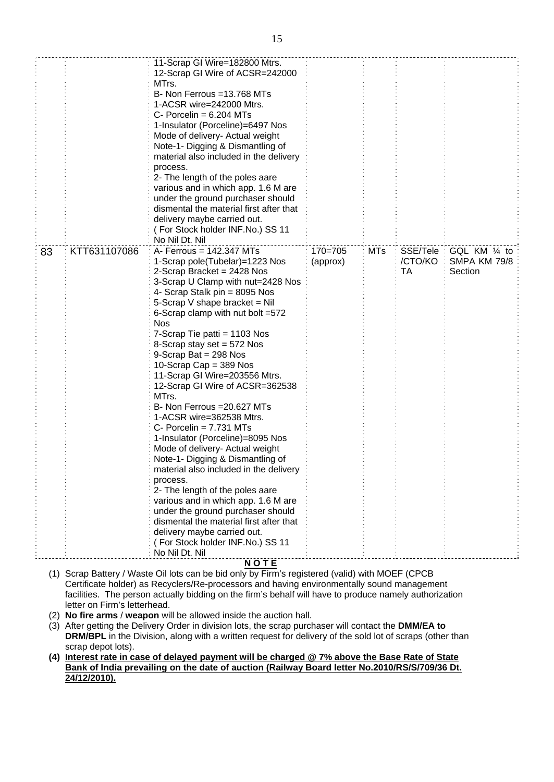|    |              | Mode of delivery- Actual weight<br>Note-1- Digging & Dismantling of<br>material also included in the delivery<br>process.<br>2- The length of the poles aare<br>various and in which app. 1.6 M are<br>under the ground purchaser should<br>dismental the material first after that<br>delivery maybe carried out.<br>(For Stock holder INF.No.) SS 11<br>No Nil Dt. Nil                                                                                                                                                                                                         |                         |            |                             |                                                 |
|----|--------------|----------------------------------------------------------------------------------------------------------------------------------------------------------------------------------------------------------------------------------------------------------------------------------------------------------------------------------------------------------------------------------------------------------------------------------------------------------------------------------------------------------------------------------------------------------------------------------|-------------------------|------------|-----------------------------|-------------------------------------------------|
| 83 | KTT631107086 | $A$ - Ferrous = 142.347 MTs<br>1-Scrap pole(Tubelar)=1223 Nos<br>2-Scrap Bracket = 2428 Nos<br>3-Scrap U Clamp with nut=2428 Nos<br>4- Scrap Stalk pin = 8095 Nos<br>5-Scrap V shape bracket = Nil<br>6-Scrap clamp with nut bolt =572<br><b>Nos</b><br>7-Scrap Tie patti = 1103 Nos<br>8-Scrap stay set = 572 Nos<br>9-Scrap Bat = $298$ Nos<br>10-Scrap Cap = $389$ Nos<br>11-Scrap GI Wire=203556 Mtrs.<br>12-Scrap GI Wire of ACSR=362538<br>MTrs.<br>B- Non Ferrous = 20.627 MTs                                                                                            | $170 = 705$<br>(approx) | <b>MTs</b> | SSE/Tele :<br>/CTO/KO<br>ТA | GQL KM 1/4 to<br><b>SMPA KM 79/8</b><br>Section |
|    |              | 11-Scrap GI Wire=182800 Mtrs.<br>12-Scrap GI Wire of ACSR=242000<br>MTrs.<br>B- Non Ferrous =13.768 MTs<br>1-ACSR wire=242000 Mtrs.<br>C- Porcelin = $6.204$ MTs<br>1-Insulator (Porceline)=6497 Nos<br>Mode of delivery- Actual weight<br>Note-1- Digging & Dismantling of<br>material also included in the delivery<br>process.<br>2- The length of the poles aare<br>various and in which app. 1.6 M are<br>under the ground purchaser should<br>dismental the material first after that<br>delivery maybe carried out.<br>(For Stock holder INF.No.) SS 11<br>No Nil Dt. Nil |                         |            |                             |                                                 |
|    |              |                                                                                                                                                                                                                                                                                                                                                                                                                                                                                                                                                                                  |                         |            |                             |                                                 |

- (1) Scrap Battery / Waste Oil lots can be bid only by Firm's registered (valid) with MOEF (CPCB Certificate holder) as Recyclers/Re-processors and having environmentally sound management facilities. The person actually bidding on the firm's behalf will have to produce namely authorization letter on Firm's letterhead.
- (2) **No fire arms** / **weapon** will be allowed inside the auction hall.
- (3) After getting the Delivery Order in division lots, the scrap purchaser will contact the **DMM/EA to DRM/BPL** in the Division, along with a written request for delivery of the sold lot of scraps (other than scrap depot lots).
- **(4) Interest rate in case of delayed payment will be charged @ 7% above the Base Rate of State Bank of India prevailing on the date of auction (Railway Board letter No.2010/RS/S/709/36 Dt. 24/12/2010).**